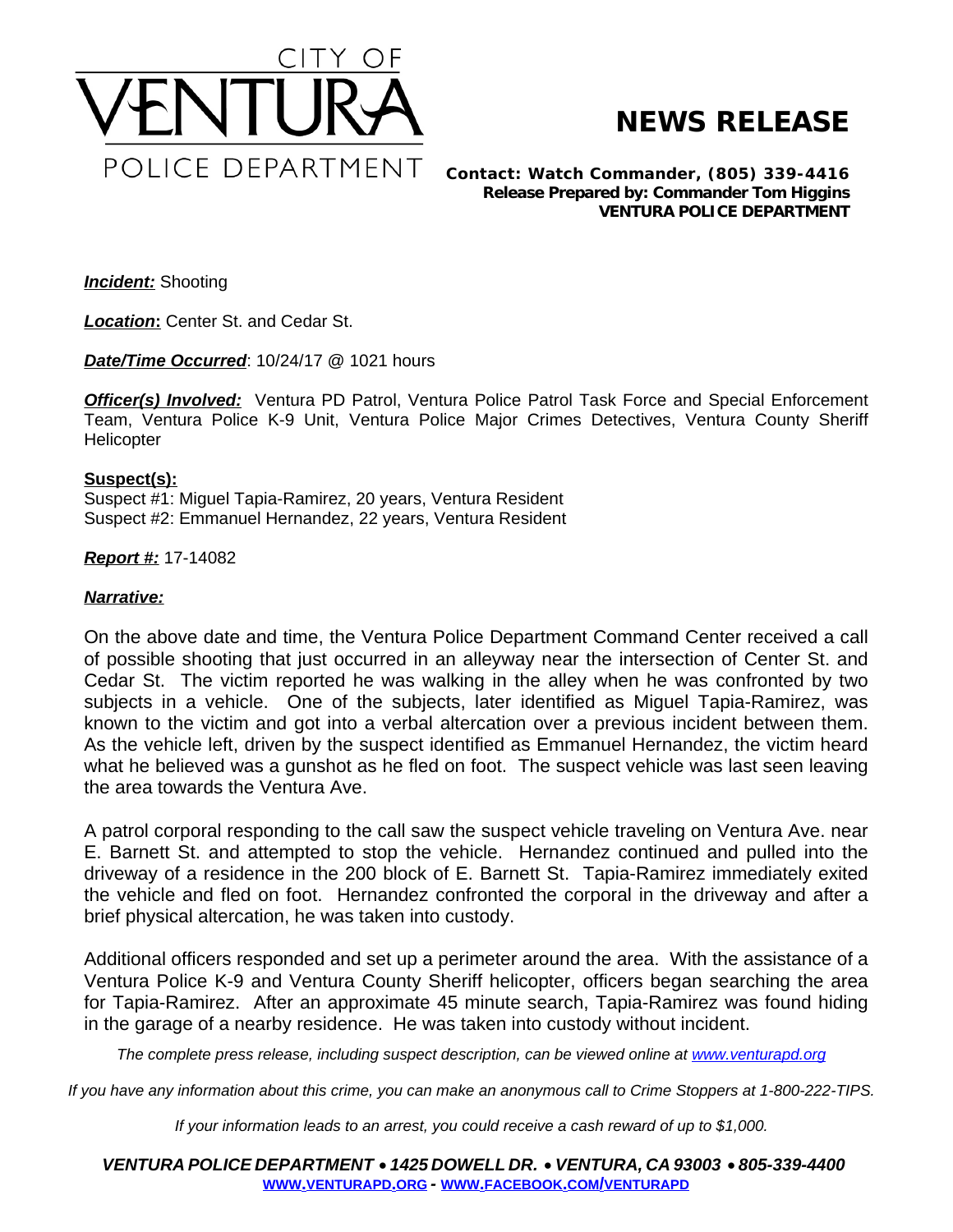

## **NEWS RELEASE**

*Contact: Watch Commander, (805) 339-4416 Release Prepared by: Commander Tom Higgins* **VENTURA POLICE DEPARTMENT**

*Incident:* Shooting

*Location***:** Center St. and Cedar St.

*Date/Time Occurred*: 10/24/17 @ 1021 hours

**Officer(s) Involved:** Ventura PD Patrol, Ventura Police Patrol Task Force and Special Enforcement Team, Ventura Police K-9 Unit, Ventura Police Major Crimes Detectives, Ventura County Sheriff **Helicopter** 

## **Suspect(s):**

Suspect #1: Miguel Tapia-Ramirez, 20 years, Ventura Resident Suspect #2: Emmanuel Hernandez, 22 years, Ventura Resident

## *Report #:* 17-14082

## *Narrative:*

On the above date and time, the Ventura Police Department Command Center received a call of possible shooting that just occurred in an alleyway near the intersection of Center St. and Cedar St. The victim reported he was walking in the alley when he was confronted by two subjects in a vehicle. One of the subjects, later identified as Miguel Tapia-Ramirez, was known to the victim and got into a verbal altercation over a previous incident between them. As the vehicle left, driven by the suspect identified as Emmanuel Hernandez, the victim heard what he believed was a gunshot as he fled on foot. The suspect vehicle was last seen leaving the area towards the Ventura Ave.

A patrol corporal responding to the call saw the suspect vehicle traveling on Ventura Ave. near E. Barnett St. and attempted to stop the vehicle. Hernandez continued and pulled into the driveway of a residence in the 200 block of E. Barnett St. Tapia-Ramirez immediately exited the vehicle and fled on foot. Hernandez confronted the corporal in the driveway and after a brief physical altercation, he was taken into custody.

Additional officers responded and set up a perimeter around the area. With the assistance of a Ventura Police K-9 and Ventura County Sheriff helicopter, officers began searching the area for Tapia-Ramirez. After an approximate 45 minute search, Tapia-Ramirez was found hiding in the garage of a nearby residence. He was taken into custody without incident.

The complete press release, including suspect description, can be viewed online at [www.venturapd.org](http://www.venturapd.org)

*If you have any information about this crime, you can make an anonymous call to Crime Stoppers at 1-800-222-TIPS.*

*If your information leads to an arrest, you could receive a cash reward of up to \$1,000.*

*VENTURA POLICE DEPARTMENT* · *1425 DOWELL DR.* · *VENTURA, CA 93003* · *805-339-4400* **WWW.[VENTURAPD](http://www.venturapd.org).ORG** *-* **WWW.FACEBOOK.COM/[VENTURAPD](http://www.facebook.com/venturapd)**